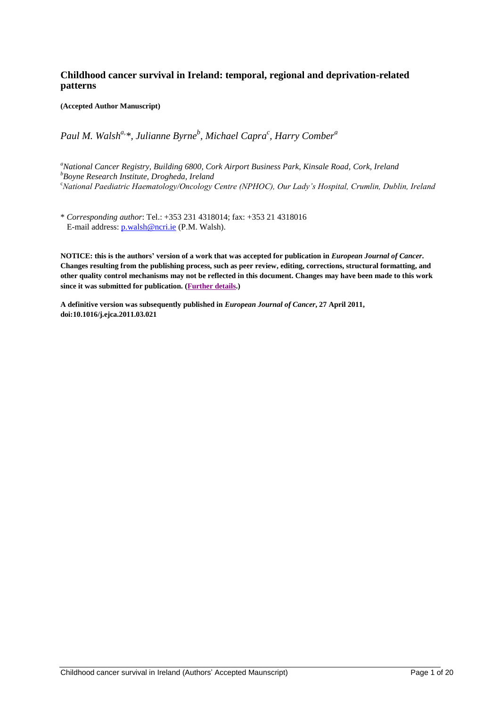# **Childhood cancer survival in Ireland: temporal, regional and deprivation-related patterns**

**(Accepted Author Manuscript)**

*Paul M. Walsh a,\*, Julianne Byrne<sup>b</sup> , Michael Capra<sup>c</sup> , Harry Comber<sup>a</sup>*

*<sup>a</sup>National Cancer Registry, Building 6800, Cork Airport Business Park, Kinsale Road, Cork, Ireland <sup>b</sup>Boyne Research Institute, Drogheda, Ireland* <sup>c</sup>*National Paediatric Haematology/Oncology Centre (NPHOC), Our Lady's Hospital, Crumlin, Dublin, Ireland*

\* *Corresponding author*: Tel.: +353 231 4318014; fax: +353 21 4318016 E-mail address: [p.walsh@ncri.ie](mailto:p.walsh@ncri.ie) (P.M. Walsh).

**NOTICE: this is the authors' version of a work that was accepted for publication in** *European Journal of Cancer***. Changes resulting from the publishing process, such as peer review, editing, corrections, structural formatting, and other quality control mechanisms may not be reflected in this document. Changes may have been made to this work since it was submitted for publication. [\(Further](http://www.elsevier.com/wps/find/authorsview.authors/postingpolicy) details.)**

**A definitive version was subsequently published in** *European Journal of Cancer***, 27 April 2011, doi:10.1016/j.ejca.2011.03.021**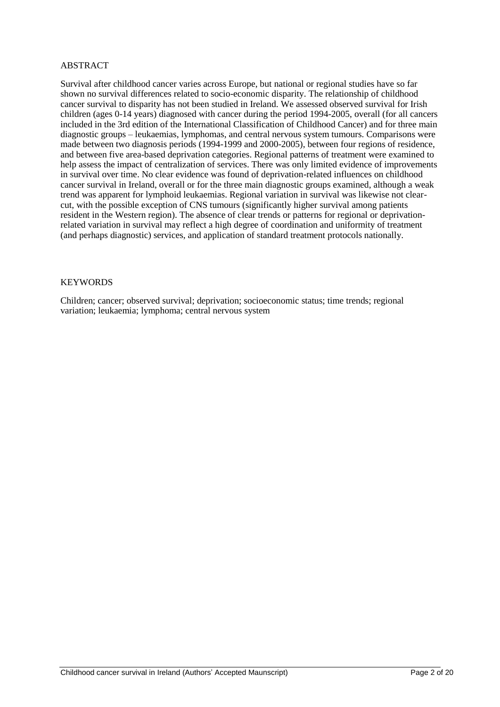#### ABSTRACT

Survival after childhood cancer varies across Europe, but national or regional studies have so far shown no survival differences related to socio-economic disparity. The relationship of childhood cancer survival to disparity has not been studied in Ireland. We assessed observed survival for Irish children (ages 0-14 years) diagnosed with cancer during the period 1994-2005, overall (for all cancers included in the 3rd edition of the International Classification of Childhood Cancer) and for three main diagnostic groups – leukaemias, lymphomas, and central nervous system tumours. Comparisons were made between two diagnosis periods (1994-1999 and 2000-2005), between four regions of residence, and between five area-based deprivation categories. Regional patterns of treatment were examined to help assess the impact of centralization of services. There was only limited evidence of improvements in survival over time. No clear evidence was found of deprivation-related influences on childhood cancer survival in Ireland, overall or for the three main diagnostic groups examined, although a weak trend was apparent for lymphoid leukaemias. Regional variation in survival was likewise not clearcut, with the possible exception of CNS tumours (significantly higher survival among patients resident in the Western region). The absence of clear trends or patterns for regional or deprivationrelated variation in survival may reflect a high degree of coordination and uniformity of treatment (and perhaps diagnostic) services, and application of standard treatment protocols nationally.

#### **KEYWORDS**

Children; cancer; observed survival; deprivation; socioeconomic status; time trends; regional variation; leukaemia; lymphoma; central nervous system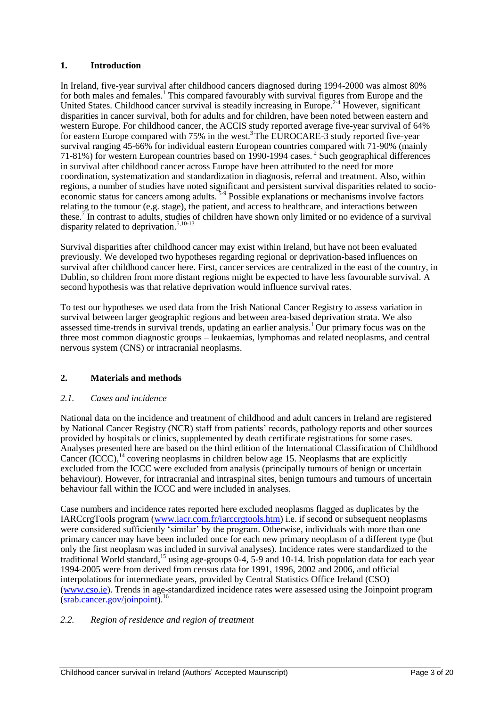## **1. Introduction**

In Ireland, five-year survival after childhood cancers diagnosed during 1994-2000 was almost 80% for both males and females.<sup>1</sup> This compared favourably with survival figures from Europe and the United States. Childhood cancer survival is steadily increasing in Europe.<sup>2-4</sup> However, significant disparities in cancer survival, both for adults and for children, have been noted between eastern and western Europe. For childhood cancer, the ACCIS study reported average five-year survival of 64% for eastern Europe compared with 75% in the west.<sup>3</sup> The EUROCARE-3 study reported five-year survival ranging 45-66% for individual eastern European countries compared with 71-90% (mainly 71-81%) for western European countries based on 1990-1994 cases.<sup>2</sup> Such geographical differences in survival after childhood cancer across Europe have been attributed to the need for more coordination, systematization and standardization in diagnosis, referral and treatment. Also, within regions, a number of studies have noted significant and persistent survival disparities related to socioeconomic status for cancers among adults.<sup>5-9</sup> Possible explanations or mechanisms involve factors relating to the tumour (e.g. stage), the patient, and access to healthcare, and interactions between these.<sup>7</sup> In contrast to adults, studies of children have shown only limited or no evidence of a survival disparity related to deprivation. $5,10-13$ 

Survival disparities after childhood cancer may exist within Ireland, but have not been evaluated previously. We developed two hypotheses regarding regional or deprivation-based influences on survival after childhood cancer here. First, cancer services are centralized in the east of the country, in Dublin, so children from more distant regions might be expected to have less favourable survival. A second hypothesis was that relative deprivation would influence survival rates.

To test our hypotheses we used data from the Irish National Cancer Registry to assess variation in survival between larger geographic regions and between area-based deprivation strata. We also assessed time-trends in survival trends, updating an earlier analysis.<sup>1</sup> Our primary focus was on the three most common diagnostic groups – leukaemias, lymphomas and related neoplasms, and central nervous system (CNS) or intracranial neoplasms.

# **2. Materials and methods**

#### *2.1. Cases and incidence*

National data on the incidence and treatment of childhood and adult cancers in Ireland are registered by National Cancer Registry (NCR) staff from patients" records, pathology reports and other sources provided by hospitals or clinics, supplemented by death certificate registrations for some cases. Analyses presented here are based on the third edition of the International Classification of Childhood Cancer  $(\angle \text{CCC})$ ,<sup>14</sup> covering neoplasms in children below age 15. Neoplasms that are explicitly excluded from the ICCC were excluded from analysis (principally tumours of benign or uncertain behaviour). However, for intracranial and intraspinal sites, benign tumours and tumours of uncertain behaviour fall within the ICCC and were included in analyses.

Case numbers and incidence rates reported here excluded neoplasms flagged as duplicates by the IARCcrgTools program [\(www.iacr.com.fr/iarccrgtools.htm\)](http://www.iacr.com.fr/iarccrgtools.htm) i.e. if second or subsequent neoplasms were considered sufficiently 'similar' by the program. Otherwise, individuals with more than one primary cancer may have been included once for each new primary neoplasm of a different type (but only the first neoplasm was included in survival analyses). Incidence rates were standardized to the traditional World standard,<sup>15</sup> using age-groups 0-4, 5-9 and 10-14. Irish population data for each year 1994-2005 were from derived from census data for 1991, 1996, 2002 and 2006, and official interpolations for intermediate years, provided by Central Statistics Office Ireland (CSO) [\(www.cso.ie\)](http://www.cso.ie/). Trends in age-standardized incidence rates were assessed using the Joinpoint program [\(srab.cancer.gov/joinpoint\)](http://srab.cancer.gov/joinpoint/).<sup>16</sup>

#### *2.2. Region of residence and region of treatment*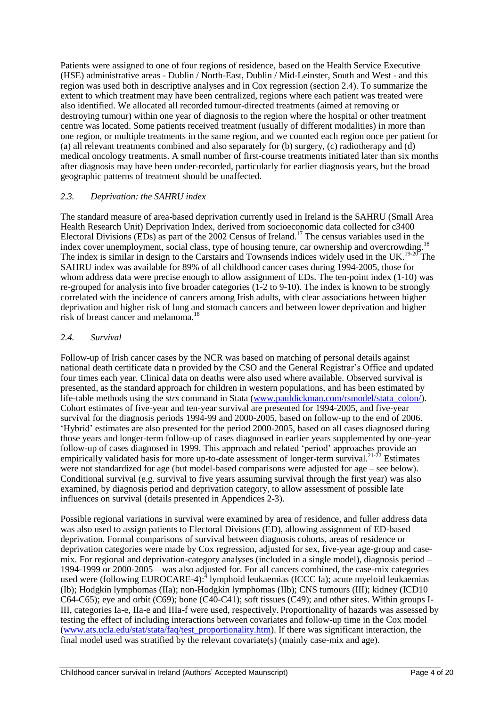Patients were assigned to one of four regions of residence, based on the Health Service Executive (HSE) administrative areas - Dublin / North-East, Dublin / Mid-Leinster, South and West - and this region was used both in descriptive analyses and in Cox regression (section 2.4). To summarize the extent to which treatment may have been centralized, regions where each patient was treated were also identified. We allocated all recorded tumour-directed treatments (aimed at removing or destroying tumour) within one year of diagnosis to the region where the hospital or other treatment centre was located. Some patients received treatment (usually of different modalities) in more than one region, or multiple treatments in the same region, and we counted each region once per patient for (a) all relevant treatments combined and also separately for (b) surgery, (c) radiotherapy and (d) medical oncology treatments. A small number of first-course treatments initiated later than six months after diagnosis may have been under-recorded, particularly for earlier diagnosis years, but the broad geographic patterns of treatment should be unaffected.

## *2.3. Deprivation: the SAHRU index*

The standard measure of area-based deprivation currently used in Ireland is the SAHRU (Small Area Health Research Unit) Deprivation Index, derived from socioeconomic data collected for c3400 Electoral Divisions (EDs) as part of the 2002 Census of Ireland.<sup>17</sup> The census variables used in the index cover upomple used along time of bought to use our experiment and expressively  $18$ index cover unemployment, social class, type of housing tenure, car ownership and overcrowding. The index is similar in design to the Carstairs and Townsends indices widely used in the UK.<sup>19-20</sup> The SAHRU index was available for 89% of all childhood cancer cases during 1994-2005, those for whom address data were precise enough to allow assignment of EDs. The ten-point index (1-10) was re-grouped for analysis into five broader categories (1-2 to 9-10). The index is known to be strongly correlated with the incidence of cancers among Irish adults, with clear associations between higher deprivation and higher risk of lung and stomach cancers and between lower deprivation and higher risk of breast cancer and melanoma.<sup>18</sup>

## *2.4. Survival*

Follow-up of Irish cancer cases by the NCR was based on matching of personal details against national death certificate data n provided by the CSO and the General Registrar"s Office and updated four times each year. Clinical data on deaths were also used where available. Observed survival is presented, as the standard approach for children in western populations, and has been estimated by life-table methods using the *strs* command in Stata [\(www.pauldickman.com/rsmodel/stata\\_colon/\)](file:///D:/My%20Documents/Childhood%20cancer/19942006analysis/EJC%20submission/www.pauldickman.com/rsmodel/stata_colon/). Cohort estimates of five-year and ten-year survival are presented for 1994-2005, and five-year survival for the diagnosis periods 1994-99 and 2000-2005, based on follow-up to the end of 2006. "Hybrid" estimates are also presented for the period 2000-2005, based on all cases diagnosed during those years and longer-term follow-up of cases diagnosed in earlier years supplemented by one-year follow-up of cases diagnosed in 1999. This approach and related "period" approaches provide an empirically validated basis for more up-to-date assessment of longer-term survival.<sup>21-22</sup> Estimates were not standardized for age (but model-based comparisons were adjusted for age – see below). Conditional survival (e.g. survival to five years assuming survival through the first year) was also examined, by diagnosis period and deprivation category, to allow assessment of possible late influences on survival (details presented in Appendices 2-3).

Possible regional variations in survival were examined by area of residence, and fuller address data was also used to assign patients to Electoral Divisions (ED), allowing assignment of ED-based deprivation. Formal comparisons of survival between diagnosis cohorts, areas of residence or deprivation categories were made by Cox regression, adjusted for sex, five-year age-group and casemix. For regional and deprivation-category analyses (included in a single model), diagnosis period – 1994-1999 or 2000-2005 – was also adjusted for. For all cancers combined, the case-mix categories used were (following EUROCARE-4):<sup>4</sup> lymphoid leukaemias (ICCC Ia); acute myeloid leukaemias (Ib); Hodgkin lymphomas (IIa); non-Hodgkin lymphomas (IIb); CNS tumours (III); kidney (ICD10 C64-C65); eye and orbit (C69); bone (C40-C41); soft tissues (C49); and other sites. Within groups I-III, categories Ia-e, IIa-e and IIIa-f were used, respectively. Proportionality of hazards was assessed by testing the effect of including interactions between covariates and follow-up time in the Cox model [\(www.ats.ucla.edu/stat/stata/faq/test\\_proportionality.htm\)](http://www.ats.ucla.edu/stat/stata/faq/test_proportionality.htm). If there was significant interaction, the final model used was stratified by the relevant covariate(s) (mainly case-mix and age).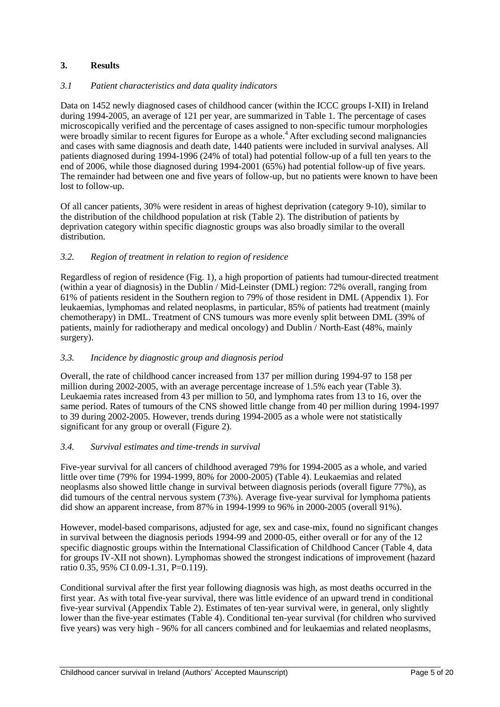# **3. Results**

## *3.1 Patient characteristics and data quality indicators*

Data on 1452 newly diagnosed cases of childhood cancer (within the ICCC groups I-XII) in Ireland during 1994-2005, an average of 121 per year, are summarized in Table 1. The percentage of cases microscopically verified and the percentage of cases assigned to non-specific tumour morphologies were broadly similar to recent figures for Europe as a whole.<sup>4</sup> After excluding second malignancies and cases with same diagnosis and death date, 1440 patients were included in survival analyses. All patients diagnosed during 1994-1996 (24% of total) had potential follow-up of a full ten years to the end of 2006, while those diagnosed during 1994-2001 (65%) had potential follow-up of five years. The remainder had between one and five years of follow-up, but no patients were known to have been lost to follow-up.

Of all cancer patients, 30% were resident in areas of highest deprivation (category 9-10), similar to the distribution of the childhood population at risk (Table 2). The distribution of patients by deprivation category within specific diagnostic groups was also broadly similar to the overall distribution.

## *3.2. Region of treatment in relation to region of residence*

Regardless of region of residence (Fig. 1), a high proportion of patients had tumour-directed treatment (within a year of diagnosis) in the Dublin / Mid-Leinster (DML) region: 72% overall, ranging from 61% of patients resident in the Southern region to 79% of those resident in DML (Appendix 1). For leukaemias, lymphomas and related neoplasms, in particular, 85% of patients had treatment (mainly chemotherapy) in DML. Treatment of CNS tumours was more evenly split between DML (39% of patients, mainly for radiotherapy and medical oncology) and Dublin / North-East (48%, mainly surgery).

## *3.3. Incidence by diagnostic group and diagnosis period*

Overall, the rate of childhood cancer increased from 137 per million during 1994-97 to 158 per million during 2002-2005, with an average percentage increase of 1.5% each year (Table 3). Leukaemia rates increased from 43 per million to 50, and lymphoma rates from 13 to 16, over the same period. Rates of tumours of the CNS showed little change from 40 per million during 1994-1997 to 39 during 2002-2005. However, trends during 1994-2005 as a whole were not statistically significant for any group or overall (Figure 2).

#### *3.4. Survival estimates and time-trends in survival*

Five-year survival for all cancers of childhood averaged 79% for 1994-2005 as a whole, and varied little over time (79% for 1994-1999, 80% for 2000-2005) (Table 4). Leukaemias and related neoplasms also showed little change in survival between diagnosis periods (overall figure 77%), as did tumours of the central nervous system (73%). Average five-year survival for lymphoma patients did show an apparent increase, from 87% in 1994-1999 to 96% in 2000-2005 (overall 91%).

However, model-based comparisons, adjusted for age, sex and case-mix, found no significant changes in survival between the diagnosis periods 1994-99 and 2000-05, either overall or for any of the 12 specific diagnostic groups within the International Classification of Childhood Cancer (Table 4, data for groups IV-XII not shown). Lymphomas showed the strongest indications of improvement (hazard ratio 0.35, 95% CI 0.09-1.31, P=0.119).

Conditional survival after the first year following diagnosis was high, as most deaths occurred in the first year. As with total five-year survival, there was little evidence of an upward trend in conditional five-year survival (Appendix Table 2). Estimates of ten-year survival were, in general, only slightly lower than the five-year estimates (Table 4). Conditional ten-year survival (for children who survived five years) was very high - 96% for all cancers combined and for leukaemias and related neoplasms,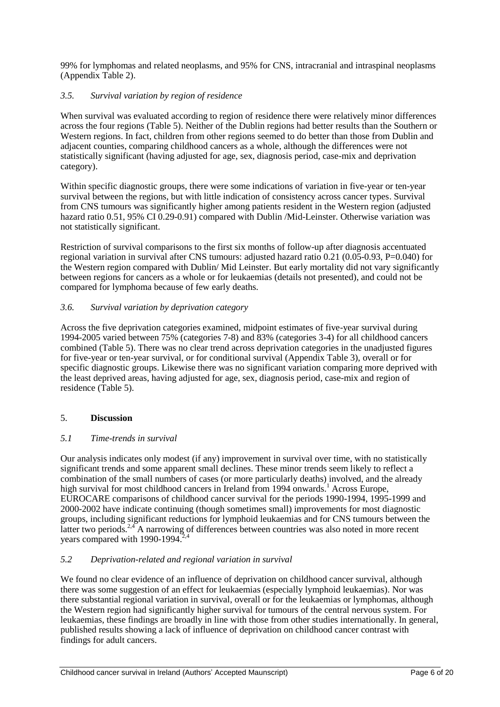99% for lymphomas and related neoplasms, and 95% for CNS, intracranial and intraspinal neoplasms (Appendix Table 2).

## *3.5. Survival variation by region of residence*

When survival was evaluated according to region of residence there were relatively minor differences across the four regions (Table 5). Neither of the Dublin regions had better results than the Southern or Western regions. In fact, children from other regions seemed to do better than those from Dublin and adjacent counties, comparing childhood cancers as a whole, although the differences were not statistically significant (having adjusted for age, sex, diagnosis period, case-mix and deprivation category).

Within specific diagnostic groups, there were some indications of variation in five-year or ten-year survival between the regions, but with little indication of consistency across cancer types. Survival from CNS tumours was significantly higher among patients resident in the Western region (adjusted hazard ratio 0.51, 95% CI 0.29-0.91) compared with Dublin /Mid-Leinster. Otherwise variation was not statistically significant.

Restriction of survival comparisons to the first six months of follow-up after diagnosis accentuated regional variation in survival after CNS tumours: adjusted hazard ratio 0.21 (0.05-0.93, P=0.040) for the Western region compared with Dublin/ Mid Leinster. But early mortality did not vary significantly between regions for cancers as a whole or for leukaemias (details not presented), and could not be compared for lymphoma because of few early deaths.

## *3.6. Survival variation by deprivation category*

Across the five deprivation categories examined, midpoint estimates of five-year survival during 1994-2005 varied between 75% (categories 7-8) and 83% (categories 3-4) for all childhood cancers combined (Table 5). There was no clear trend across deprivation categories in the unadjusted figures for five-year or ten-year survival, or for conditional survival (Appendix Table 3), overall or for specific diagnostic groups. Likewise there was no significant variation comparing more deprived with the least deprived areas, having adjusted for age, sex, diagnosis period, case-mix and region of residence (Table 5).

#### 5. **Discussion**

#### *5.1 Time-trends in survival*

Our analysis indicates only modest (if any) improvement in survival over time, with no statistically significant trends and some apparent small declines. These minor trends seem likely to reflect a combination of the small numbers of cases (or more particularly deaths) involved, and the already high survival for most childhood cancers in Ireland from 1994 onwards. <sup>1</sup> Across Europe, EUROCARE comparisons of childhood cancer survival for the periods 1990-1994, 1995-1999 and 2000-2002 have indicate continuing (though sometimes small) improvements for most diagnostic groups, including significant reductions for lymphoid leukaemias and for CNS tumours between the latter two periods.<sup>2,4</sup> A narrowing of differences between countries was also noted in more recent vears compared with 1990-1994. $^{2,4}$ 

#### *5.2 Deprivation-related and regional variation in survival*

We found no clear evidence of an influence of deprivation on childhood cancer survival, although there was some suggestion of an effect for leukaemias (especially lymphoid leukaemias). Nor was there substantial regional variation in survival, overall or for the leukaemias or lymphomas, although the Western region had significantly higher survival for tumours of the central nervous system. For leukaemias, these findings are broadly in line with those from other studies internationally. In general, published results showing a lack of influence of deprivation on childhood cancer contrast with findings for adult cancers.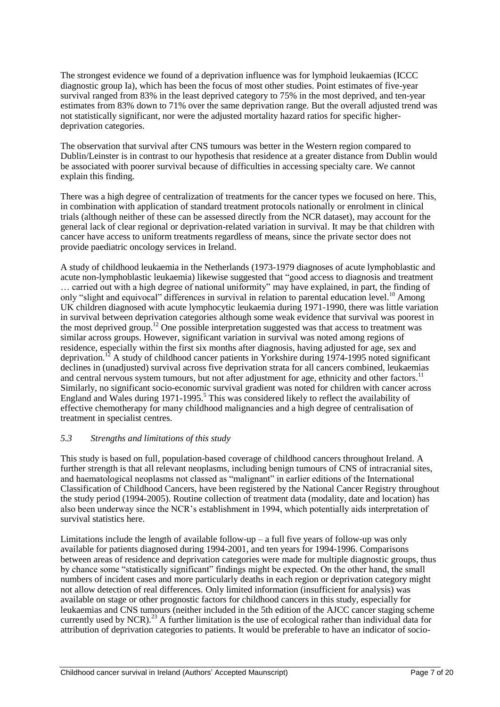The strongest evidence we found of a deprivation influence was for lymphoid leukaemias (ICCC diagnostic group Ia), which has been the focus of most other studies. Point estimates of five-year survival ranged from 83% in the least deprived category to 75% in the most deprived, and ten-year estimates from 83% down to 71% over the same deprivation range. But the overall adjusted trend was not statistically significant, nor were the adjusted mortality hazard ratios for specific higherdeprivation categories.

The observation that survival after CNS tumours was better in the Western region compared to Dublin/Leinster is in contrast to our hypothesis that residence at a greater distance from Dublin would be associated with poorer survival because of difficulties in accessing specialty care. We cannot explain this finding*.*

There was a high degree of centralization of treatments for the cancer types we focused on here. This, in combination with application of standard treatment protocols nationally or enrolment in clinical trials (although neither of these can be assessed directly from the NCR dataset), may account for the general lack of clear regional or deprivation-related variation in survival. It may be that children with cancer have access to uniform treatments regardless of means, since the private sector does not provide paediatric oncology services in Ireland.

A study of childhood leukaemia in the Netherlands (1973-1979 diagnoses of acute lymphoblastic and acute non-lymphoblastic leukaemia) likewise suggested that "good access to diagnosis and treatment … carried out with a high degree of national uniformity" may have explained, in part, the finding of only "slight and equivocal" differences in survival in relation to parental education level.<sup>10</sup> Among UK children diagnosed with acute lymphocytic leukaemia during 1971-1990, there was little variation in survival between deprivation categories although some weak evidence that survival was poorest in the most deprived group.<sup>12</sup> One possible interpretation suggested was that access to treatment was similar across groups. However, significant variation in survival was noted among regions of residence, especially within the first six months after diagnosis, having adjusted for age, sex and deprivation.<sup>12</sup> A study of childhood cancer patients in Yorkshire during 1974-1995 noted significant declines in (unadjusted) survival across five deprivation strata for all cancers combined, leukaemias and central nervous system tumours, but not after adjustment for age, ethnicity and other factors.<sup>1</sup> Similarly, no significant socio-economic survival gradient was noted for children with cancer across England and Wales during 1971-1995.<sup>5</sup> This was considered likely to reflect the availability of effective chemotherapy for many childhood malignancies and a high degree of centralisation of treatment in specialist centres.

#### *5.3 Strengths and limitations of this study*

This study is based on full, population-based coverage of childhood cancers throughout Ireland. A further strength is that all relevant neoplasms, including benign tumours of CNS of intracranial sites, and haematological neoplasms not classed as "malignant" in earlier editions of the International Classification of Childhood Cancers, have been registered by the National Cancer Registry throughout the study period (1994-2005). Routine collection of treatment data (modality, date and location) has also been underway since the NCR"s establishment in 1994, which potentially aids interpretation of survival statistics here.

Limitations include the length of available follow-up – a full five years of follow-up was only available for patients diagnosed during 1994-2001, and ten years for 1994-1996. Comparisons between areas of residence and deprivation categories were made for multiple diagnostic groups, thus by chance some "statistically significant" findings might be expected. On the other hand, the small numbers of incident cases and more particularly deaths in each region or deprivation category might not allow detection of real differences. Only limited information (insufficient for analysis) was available on stage or other prognostic factors for childhood cancers in this study, especially for leukaemias and CNS tumours (neither included in the 5th edition of the AJCC cancer staging scheme currently used by NCR).<sup>23</sup> A further limitation is the use of ecological rather than individual data for attribution of deprivation categories to patients. It would be preferable to have an indicator of socio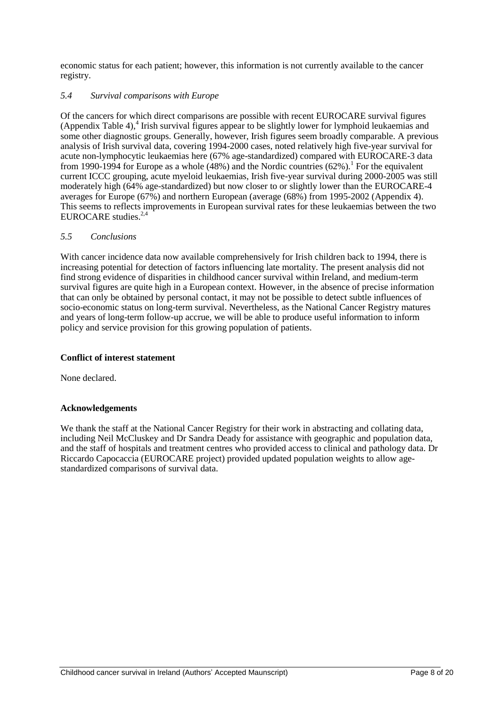economic status for each patient; however, this information is not currently available to the cancer registry.

## *5.4 Survival comparisons with Europe*

Of the cancers for which direct comparisons are possible with recent EUROCARE survival figures (Appendix Table 4),<sup>4</sup> Irish survival figures appear to be slightly lower for lymphoid leukaemias and some other diagnostic groups. Generally, however, Irish figures seem broadly comparable. A previous analysis of Irish survival data, covering 1994-2000 cases, noted relatively high five-year survival for acute non-lymphocytic leukaemias here (67% age-standardized) compared with EUROCARE-3 data from 1990-1994 for Europe as a whole  $(48%)$  and the Nordic countries  $(62%)$ .<sup>1</sup> For the equivalent current ICCC grouping, acute myeloid leukaemias, Irish five-year survival during 2000-2005 was still moderately high (64% age-standardized) but now closer to or slightly lower than the EUROCARE-4 averages for Europe (67%) and northern European (average (68%) from 1995-2002 (Appendix 4). This seems to reflects improvements in European survival rates for these leukaemias between the two EUROCARE studies. 2,4

## *5.5 Conclusions*

With cancer incidence data now available comprehensively for Irish children back to 1994, there is increasing potential for detection of factors influencing late mortality. The present analysis did not find strong evidence of disparities in childhood cancer survival within Ireland, and medium-term survival figures are quite high in a European context. However, in the absence of precise information that can only be obtained by personal contact, it may not be possible to detect subtle influences of socio-economic status on long-term survival. Nevertheless, as the National Cancer Registry matures and years of long-term follow-up accrue, we will be able to produce useful information to inform policy and service provision for this growing population of patients.

## **Conflict of interest statement**

None declared.

#### **Acknowledgements**

We thank the staff at the National Cancer Registry for their work in abstracting and collating data, including Neil McCluskey and Dr Sandra Deady for assistance with geographic and population data, and the staff of hospitals and treatment centres who provided access to clinical and pathology data. Dr Riccardo Capocaccia (EUROCARE project) provided updated population weights to allow agestandardized comparisons of survival data.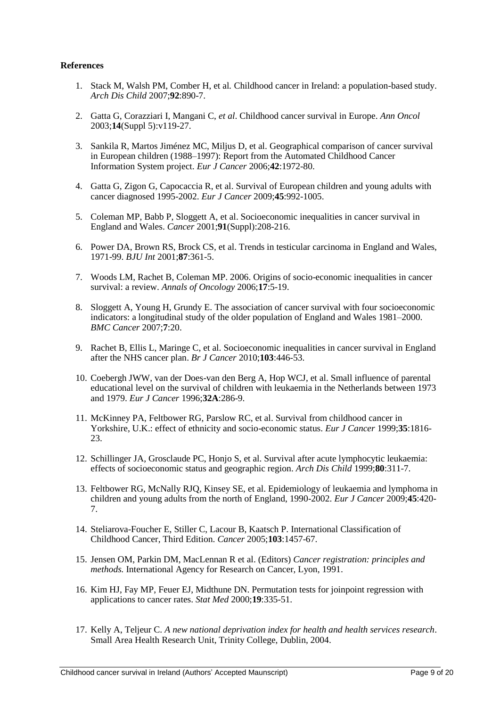#### **References**

- 1. Stack M, Walsh PM, Comber H, et al*.* Childhood cancer in Ireland: a population-based study. *Arch Dis Child* 2007;**92**:890-7.
- 2. Gatta G, Corazziari I, Mangani C, *et al*. Childhood cancer survival in Europe. *Ann Oncol*  2003;**14**(Suppl 5):v119-27.
- 3. Sankila R, Martos Jiménez MC, Miljus D, et al. Geographical comparison of cancer survival in European children (1988–1997): Report from the Automated Childhood Cancer Information System project. *Eur J Cancer* 2006;**42**:1972-80.
- 4. Gatta G, Zigon G, Capocaccia R, et al. Survival of European children and young adults with cancer diagnosed 1995-2002. *Eur J Cancer* 2009;**45**:992-1005.
- 5. Coleman MP, Babb P, Sloggett A, et al. Socioeconomic inequalities in cancer survival in England and Wales. *Cancer* 2001;**91**(Suppl):208-216.
- 6. Power DA, Brown RS, Brock CS, et al. Trends in testicular carcinoma in England and Wales, 1971-99. *BJU Int* 2001;**87**:361-5.
- 7. Woods LM, Rachet B, Coleman MP. 2006. Origins of socio-economic inequalities in cancer survival: a review. *Annals of Oncology* 2006;**17**:5-19.
- 8. Sloggett A, Young H, Grundy E. The association of cancer survival with four socioeconomic indicators: a longitudinal study of the older population of England and Wales 1981–2000. *BMC Cancer* 2007;**7**:20.
- 9. Rachet B, Ellis L, Maringe C, et al. Socioeconomic inequalities in cancer survival in England after the NHS cancer plan. *Br J Cancer* 2010;**103**:446-53.
- 10. Coebergh JWW, van der Does-van den Berg A, Hop WCJ, et al. Small influence of parental educational level on the survival of children with leukaemia in the Netherlands between 1973 and 1979. *Eur J Cancer* 1996;**32A**:286-9.
- 11. McKinney PA, Feltbower RG, Parslow RC, et al. Survival from childhood cancer in Yorkshire, U.K.: effect of ethnicity and socio-economic status. *Eur J Cancer* 1999;**35**:1816- 23.
- 12. Schillinger JA, Grosclaude PC, Honjo S, et al. Survival after acute lymphocytic leukaemia: effects of socioeconomic status and geographic region. *Arch Dis Child* 1999;**80**:311-7.
- 13. Feltbower RG, McNally RJQ, Kinsey SE, et al. Epidemiology of leukaemia and lymphoma in children and young adults from the north of England, 1990-2002. *Eur J Cancer* 2009;**45**:420- 7.
- 14. Steliarova-Foucher E, Stiller C, Lacour B, Kaatsch P. International Classification of Childhood Cancer, Third Edition. *Cancer* 2005;**103**:1457-67.
- 15. Jensen OM, Parkin DM, MacLennan R et al. (Editors) *Cancer registration: principles and methods.* International Agency for Research on Cancer, Lyon, 1991.
- 16. Kim HJ, Fay MP, Feuer EJ, Midthune DN. Permutation tests for joinpoint regression with applications to cancer rates. *Stat Med* 2000;**19**:335-51.
- 17. Kelly A, Teljeur C. *A new national deprivation index for health and health services research*. Small Area Health Research Unit, Trinity College, Dublin, 2004.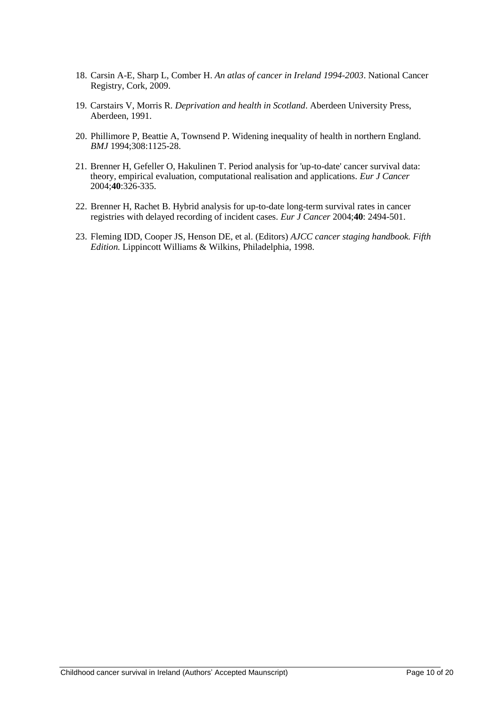- 18. Carsin A-E, Sharp L, Comber H. *An atlas of cancer in Ireland 1994-2003*. National Cancer Registry, Cork, 2009.
- 19. Carstairs V, Morris R. *Deprivation and health in Scotland*. Aberdeen University Press, Aberdeen, 1991.
- 20. Phillimore P, Beattie A, Townsend P. Widening inequality of health in northern England. *BMJ* 1994;308:1125-28.
- 21. Brenner H, Gefeller O, Hakulinen T. Period analysis for 'up-to-date' cancer survival data: theory, empirical evaluation, computational realisation and applications. *Eur J Cancer* 2004;**40**:326-335.
- 22. Brenner H, Rachet B. Hybrid analysis for up-to-date long-term survival rates in cancer registries with delayed recording of incident cases. *Eur J Cancer* 2004;**40**: 2494-501.
- 23. Fleming IDD, Cooper JS, Henson DE, et al. (Editors) *AJCC cancer staging handbook. Fifth Edition.* Lippincott Williams & Wilkins, Philadelphia, 1998.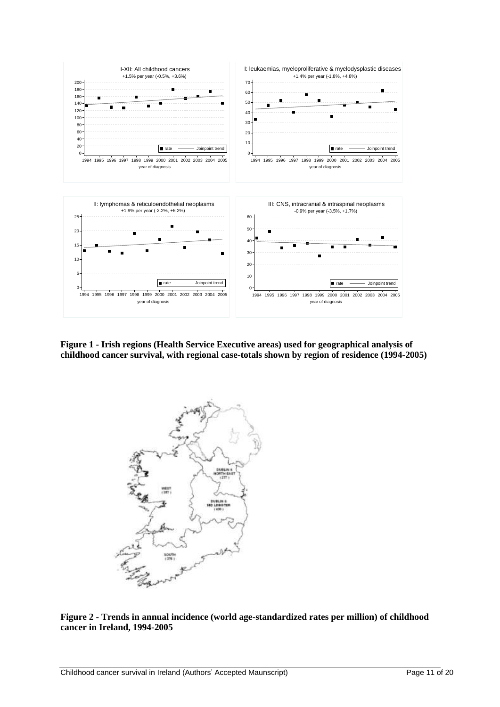

**Figure 1 - Irish regions (Health Service Executive areas) used for geographical analysis of childhood cancer survival, with regional case-totals shown by region of residence (1994-2005)**



**Figure 2 - Trends in annual incidence (world age-standardized rates per million) of childhood cancer in Ireland, 1994-2005**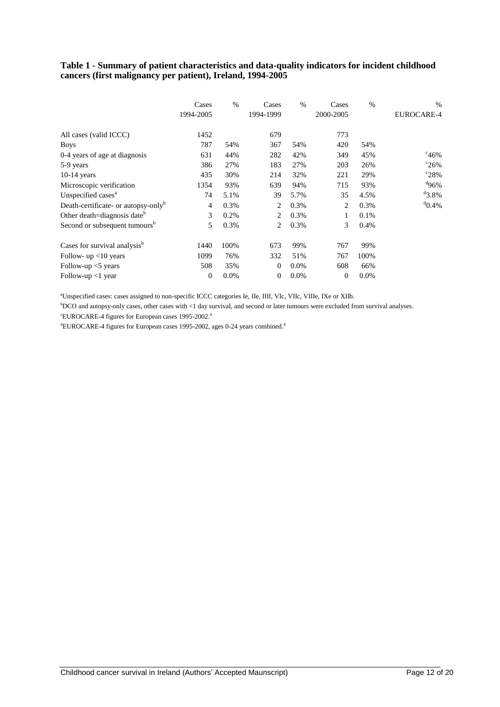## **Table 1 - Summary of patient characteristics and data-quality indicators for incident childhood cancers (first malignancy per patient), Ireland, 1994-2005**

|                                                 | Cases<br>1994-2005 | $\frac{0}{0}$ | Cases<br>1994-1999 | $\%$    | Cases<br>2000-2005 | $\%$ | $\%$<br>EUROCARE-4 |
|-------------------------------------------------|--------------------|---------------|--------------------|---------|--------------------|------|--------------------|
| All cases (valid ICCC)                          | 1452               |               | 679                |         | 773                |      |                    |
| <b>Boys</b>                                     | 787                | 54%           | 367                | 54%     | 420                | 54%  |                    |
| 0-4 years of age at diagnosis                   | 631                | 44%           | 282                | 42%     | 349                | 45%  | $^{c}46%$          |
| 5-9 years                                       | 386                | 27%           | 183                | 27%     | 203                | 26%  | $\degree$ 26%      |
| $10-14$ years                                   | 435                | 30%           | 214                | 32%     | 221                | 29%  | $^{\circ}28\%$     |
| Microscopic verification                        | 1354               | 93%           | 639                | 94%     | 715                | 93%  | 496%               |
| Unspecified cases <sup>a</sup>                  | 74                 | 5.1%          | 39                 | 5.7%    | 35                 | 4.5% | $^{d}3.8%$         |
| Death-certificate- or autopsy-only <sup>b</sup> | 4                  | 0.3%          | 2                  | 0.3%    | 2                  | 0.3% | $^{d}$ 0.4%        |
| Other death=diagnosis date <sup>b</sup>         | 3                  | 0.2%          | 2                  | 0.3%    | 1                  | 0.1% |                    |
| Second or subsequent tumours <sup>b</sup>       | 5                  | 0.3%          | 2                  | 0.3%    | 3                  | 0.4% |                    |
| Cases for survival analysis <sup>b</sup>        | 1440               | 100%          | 673                | 99%     | 767                | 99%  |                    |
| Follow- $up$ <10 years                          | 1099               | 76%           | 332                | 51%     | 767                | 100% |                    |
| Follow-up $<$ years                             | 508                | 35%           | $\theta$           | $0.0\%$ | 608                | 66%  |                    |
| Follow-up $<$ 1 year                            | $\boldsymbol{0}$   | 0.0%          | $\mathbf{0}$       | $0.0\%$ | $\overline{0}$     | 0.0% |                    |

<sup>a</sup>Unspecified cases: cases assigned to non-specific ICCC categories Ie, IIe, IIIf, VIc, VIIc, VIIIe, IXe or XIIb.

<sup>b</sup>DCO and autopsy-only cases, other cases with <1 day survival, and second or later tumours were excluded from survival analyses. <sup>c</sup>EUROCARE-4 figures for European cases 1995-2002.<sup>4</sup>

<sup>d</sup>EUROCARE-4 figures for European cases 1995-2002, ages 0-24 years combined.<sup>4</sup>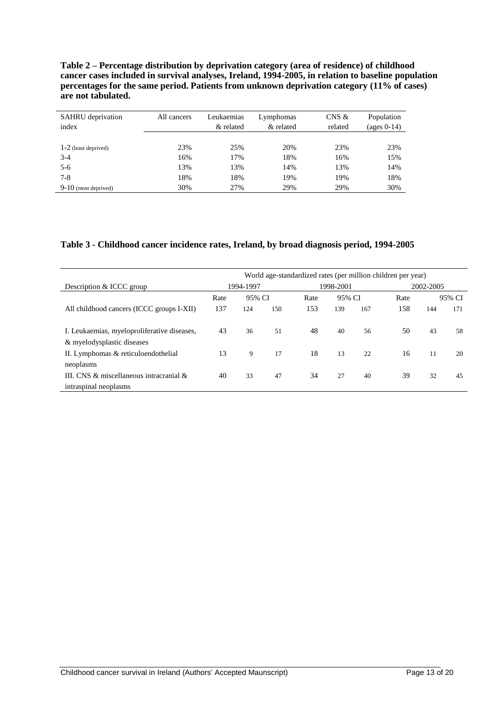**Table 2 – Percentage distribution by deprivation category (area of residence) of childhood cancer cases included in survival analyses, Ireland, 1994-2005, in relation to baseline population percentages for the same period. Patients from unknown deprivation category (11% of cases) are not tabulated.**

| <b>SAHRU</b> deprivation<br>index | All cancers | Leukaemias<br>& related | Lymphomas<br>& related | $CNS$ &<br>related | Population<br>(ages $0-14$ ) |
|-----------------------------------|-------------|-------------------------|------------------------|--------------------|------------------------------|
| $1-2$ (least deprived)            | 23%         | 25%                     | 20%                    | 23%                | 23%                          |
| $3-4$                             | 16%         | 17%                     | 18%                    | 16%                | 15%                          |
| $5-6$                             | 13%         | 13%                     | 14%                    | 13%                | 14%                          |
| $7 - 8$                           | 18%         | 18%                     | 19%                    | 19%                | 18%                          |
| $9-10$ (most deprived)            | 30%         | 27%                     | 29%                    | 29%                | 30%                          |

## **Table 3 - Childhood cancer incidence rates, Ireland, by broad diagnosis period, 1994-2005**

|                                                                           | World age-standardized rates (per million children per year) |        |     |           |        |           |      |        |     |  |
|---------------------------------------------------------------------------|--------------------------------------------------------------|--------|-----|-----------|--------|-----------|------|--------|-----|--|
| Description & ICCC group                                                  | 1994-1997                                                    |        |     | 1998-2001 |        | 2002-2005 |      |        |     |  |
|                                                                           | Rate                                                         | 95% CI |     | Rate      | 95% CI |           | Rate | 95% CI |     |  |
| All childhood cancers (ICCC groups I-XII)                                 | 137                                                          | 124    | 150 | 153       | 139    | 167       | 158  | 144    | 171 |  |
| I. Leukaemias, myeloproliferative diseases,<br>& myelodysplastic diseases | 43                                                           | 36     | 51  | 48        | 40     | 56        | 50   | 43     | 58  |  |
| II. Lymphomas & reticuloendothelial                                       | 13                                                           | 9      | 17  | 18        | 13     | 22        | 16   | 11     | 20  |  |
| neoplasms                                                                 |                                                              |        |     |           |        |           |      |        |     |  |
| III. CNS $\&$ miscellaneous intracranial $\&$                             | 40                                                           | 33     | 47  | 34        | 27     | 40        | 39   | 32     | 45  |  |
| intraspinal neoplasms                                                     |                                                              |        |     |           |        |           |      |        |     |  |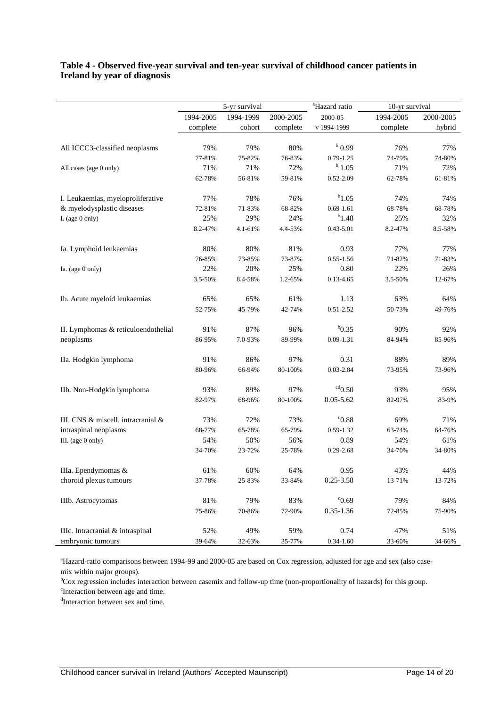#### **Table 4 - Observed five-year survival and ten-year survival of childhood cancer patients in Ireland by year of diagnosis**

|                                     |           | 5-yr survival           |           | <sup>a</sup> Hazard ratio | 10-yr survival |           |
|-------------------------------------|-----------|-------------------------|-----------|---------------------------|----------------|-----------|
|                                     | 1994-2005 | 1994-1999               | 2000-2005 | 2000-05                   | 1994-2005      | 2000-2005 |
|                                     | complete  | $\operatorname{cohort}$ | complete  | v 1994-1999               | complete       | hybrid    |
|                                     |           |                         |           |                           |                |           |
| All ICCC3-classified neoplasms      | 79%       | 79%                     | 80%       | $b$ 0.99                  | 76%            | 77%       |
|                                     | 77-81%    | 75-82%                  | 76-83%    | $0.79 - 1.25$             | 74-79%         | 74-80%    |
| All cases (age 0 only)              | 71%       | 71%                     | 72%       | $^{b}$ 1.05               | 71%            | 72%       |
|                                     | 62-78%    | 56-81%                  | 59-81%    | $0.52 - 2.09$             | 62-78%         | 61-81%    |
| I. Leukaemias, myeloproliferative   | 77%       | 78%                     | 76%       | $b_{1.05}$                | 74%            | 74%       |
| & myelodysplastic diseases          | 72-81%    | 71-83%                  | 68-82%    | $0.69 - 1.61$             | 68-78%         | 68-78%    |
| I. (age $0$ only)                   | 25%       | 29%                     | 24%       | $b_{1.48}$                | 25%            | 32%       |
|                                     | 8.2-47%   | 4.1-61%                 | 4.4-53%   | 0.43-5.01                 | 8.2-47%        | 8.5-58%   |
| Ia. Lymphoid leukaemias             | 80%       | 80%                     | 81%       | 0.93                      | 77%            | 77%       |
|                                     | 76-85%    | 73-85%                  | 73-87%    | $0.55 - 1.56$             | 71-82%         | 71-83%    |
| Ia. (age 0 only)                    | 22%       | 20%                     | 25%       | 0.80                      | 22%            | 26%       |
|                                     | 3.5-50%   | 8.4-58%                 | 1.2-65%   | $0.13 - 4.65$             | 3.5-50%        | 12-67%    |
| Ib. Acute myeloid leukaemias        | 65%       | 65%                     | 61%       | 1.13                      | 63%            | 64%       |
|                                     | 52-75%    | 45-79%                  | 42-74%    | $0.51 - 2.52$             | 50-73%         | 49-76%    |
| II. Lymphomas & reticuloendothelial | 91%       | 87%                     | 96%       | $b_{0.35}$                | 90%            | 92%       |
| neoplasms                           | 86-95%    | 7.0-93%                 | 89-99%    | $0.09 - 1.31$             | 84-94%         | 85-96%    |
| IIa. Hodgkin lymphoma               | 91%       | 86%                     | 97%       | 0.31                      | 88%            | 89%       |
|                                     | 80-96%    | 66-94%                  | 80-100%   | $0.03 - 2.84$             | 73-95%         | 73-96%    |
| IIb. Non-Hodgkin lymphoma           | 93%       | 89%                     | 97%       | $\rm ^{cd}0.50$           | 93%            | 95%       |
|                                     | 82-97%    | 68-96%                  | 80-100%   | $0.05 - 5.62$             | 82-97%         | 83-9%     |
| III. CNS & miscell. intracranial &  | 73%       | 72%                     | 73%       | °C0.88                    | 69%            | 71%       |
| intraspinal neoplasms               | 68-77%    | 65-78%                  | 65-79%    | 0.59-1.32                 | 63-74%         | 64-76%    |
| III. (age 0 only)                   | 54%       | 50%                     | 56%       | 0.89                      | 54%            | 61%       |
|                                     | 34-70%    | 23-72%                  | 25-78%    | $0.29 - 2.68$             | 34-70%         | 34-80%    |
| IIIa. Ependymomas &                 | 61%       | 60%                     | 64%       | 0.95                      | 43%            | 44%       |
| choroid plexus tumours              | 37-78%    | 25-83%                  | 33-84%    | $0.25 - 3.58$             | 13-71%         | 13-72%    |
| IIIb. Astrocytomas                  | $81\%$    | 79%                     | 83%       | $^{\circ}0.69$            | 79%            | 84%       |
|                                     | 75-86%    | 70-86%                  | 72-90%    | $0.35 - 1.36$             | 72-85%         | 75-90%    |
| IIIc. Intracranial & intraspinal    | 52%       | 49%                     | 59%       | 0.74                      | 47%            | 51%       |
| embryonic tumours                   | 39-64%    | 32-63%                  | 35-77%    | $0.34 - 1.60$             | 33-60%         | 34-66%    |

<sup>a</sup>Hazard-ratio comparisons between 1994-99 and 2000-05 are based on Cox regression, adjusted for age and sex (also casemix within major groups).

<sup>b</sup>Cox regression includes interaction between casemix and follow-up time (non-proportionality of hazards) for this group. <sup>c</sup>Interaction between age and time.

<sup>d</sup>Interaction between sex and time.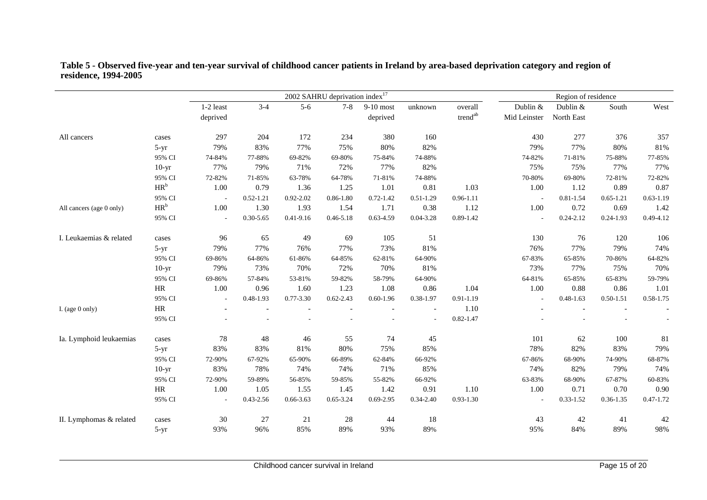|                          |           |           |               |               | 2002 SAHRU deprivation $index^{17}$ |               |                          |                     |              | Region of residence |               |               |
|--------------------------|-----------|-----------|---------------|---------------|-------------------------------------|---------------|--------------------------|---------------------|--------------|---------------------|---------------|---------------|
|                          |           | 1-2 least | $3-4$         | $5-6$         | $7 - 8$                             | $9-10$ most   | unknown                  | overall             | Dublin &     | Dublin &            | South         | West          |
|                          |           | deprived  |               |               |                                     | deprived      |                          | trend <sup>ab</sup> | Mid Leinster | North East          |               |               |
| All cancers              | cases     | 297       | 204           | 172           | 234                                 | 380           | 160                      |                     | 430          | 277                 | 376           | 357           |
|                          | $5-yr$    | 79%       | 83%           | 77%           | 75%                                 | 80%           | 82%                      |                     | 79%          | 77%                 | 80%           | $81\%$        |
|                          | 95% CI    | 74-84%    | 77-88%        | 69-82%        | 69-80%                              | 75-84%        | 74-88%                   |                     | 74-82%       | 71-81%              | 75-88%        | 77-85%        |
|                          | $10-yr$   | 77%       | 79%           | 71%           | 72%                                 | 77%           | 82%                      |                     | 75%          | 75%                 | 77%           | 77%           |
|                          | 95% CI    | 72-82%    | 71-85%        | 63-78%        | 64-78%                              | 71-81%        | 74-88%                   |                     | 70-80%       | 69-80%              | 72-81%        | 72-82%        |
|                          | $HR^b$    | 1.00      | 0.79          | 1.36          | 1.25                                | 1.01          | 0.81                     | 1.03                | 1.00         | 1.12                | 0.89          | 0.87          |
|                          | 95% CI    |           | $0.52 - 1.21$ | $0.92 - 2.02$ | $0.86 - 1.80$                       | $0.72 - 1.42$ | $0.51 - 1.29$            | $0.96 - 1.11$       | $\sim$       | $0.81 - 1.54$       | $0.65 - 1.21$ | $0.63 - 1.19$ |
| All cancers (age 0 only) | $HR^b$    | 1.00      | 1.30          | 1.93          | 1.54                                | 1.71          | 0.38                     | 1.12                | 1.00         | 0.72                | 0.69          | 1.42          |
|                          | 95% CI    |           | $0.30 - 5.65$ | $0.41 - 9.16$ | $0.46 - 5.18$                       | $0.63 - 4.59$ | $0.04 - 3.28$            | $0.89 - 1.42$       |              | $0.24 - 2.12$       | $0.24 - 1.93$ | 0.49-4.12     |
| I. Leukaemias & related  | cases     | 96        | 65            | 49            | 69                                  | 105           | 51                       |                     | 130          | 76                  | 120           | 106           |
|                          | $5-yr$    | 79%       | 77%           | 76%           | 77%                                 | 73%           | $81\%$                   |                     | 76%          | 77%                 | 79%           | 74%           |
|                          | 95% CI    | 69-86%    | 64-86%        | 61-86%        | 64-85%                              | 62-81%        | 64-90%                   |                     | 67-83%       | 65-85%              | 70-86%        | 64-82%        |
|                          | $10-yr$   | 79%       | 73%           | 70%           | 72%                                 | 70%           | $81\%$                   |                     | 73%          | 77%                 | 75%           | 70%           |
|                          | 95% CI    | 69-86%    | 57-84%        | 53-81%        | 59-82%                              | 58-79%        | 64-90%                   |                     | 64-81%       | 65-85%              | 65-83%        | 59-79%        |
|                          | HR        | 1.00      | 0.96          | 1.60          | 1.23                                | 1.08          | 0.86                     | 1.04                | 1.00         | 0.88                | 0.86          | 1.01          |
|                          | 95% CI    |           | 0.48-1.93     | 0.77-3.30     | $0.62 - 2.43$                       | $0.60 - 1.96$ | 0.38-1.97                | $0.91 - 1.19$       | ÷,           | $0.48 - 1.63$       | $0.50 - 1.51$ | $0.58 - 1.75$ |
| I. (age $0$ only)        | $\rm{HR}$ |           |               |               |                                     |               | $\overline{\phantom{a}}$ | 1.10                |              |                     |               |               |
|                          | 95% CI    |           |               |               |                                     |               |                          | $0.82 - 1.47$       |              |                     |               |               |
| Ia. Lymphoid leukaemias  | cases     | 78        | 48            | 46            | 55                                  | 74            | 45                       |                     | 101          | 62                  | 100           | 81            |
|                          | $5-yr$    | 83%       | 83%           | 81%           | 80%                                 | 75%           | 85%                      |                     | 78%          | 82%                 | 83%           | 79%           |
|                          | 95% CI    | 72-90%    | 67-92%        | 65-90%        | 66-89%                              | 62-84%        | 66-92%                   |                     | 67-86%       | 68-90%              | 74-90%        | 68-87%        |
|                          | $10-yr$   | 83%       | 78%           | 74%           | 74%                                 | 71%           | 85%                      |                     | 74%          | 82%                 | 79%           | 74%           |
|                          | 95% CI    | 72-90%    | 59-89%        | 56-85%        | 59-85%                              | 55-82%        | 66-92%                   |                     | 63-83%       | 68-90%              | 67-87%        | 60-83%        |
|                          | HR        | 1.00      | 1.05          | 1.55          | 1.45                                | 1.42          | 0.91                     | 1.10                | 1.00         | 0.71                | 0.70          | 0.90          |
|                          | 95% CI    |           | 0.43-2.56     | 0.66-3.63     | $0.65 - 3.24$                       | $0.69 - 2.95$ | $0.34 - 2.40$            | $0.93 - 1.30$       |              | $0.33 - 1.52$       | $0.36 - 1.35$ | $0.47 - 1.72$ |
| II. Lymphomas & related  | cases     | 30        | 27            | 21            | 28                                  | 44            | 18                       |                     | 43           | 42                  | 41            | 42            |
|                          | $5-yr$    | 93%       | 96%           | 85%           | 89%                                 | 93%           | 89%                      |                     | 95%          | 84%                 | 89%           | 98%           |

**Table 5 - Observed five-year and ten-year survival of childhood cancer patients in Ireland by area-based deprivation category and region of residence, 1994-2005**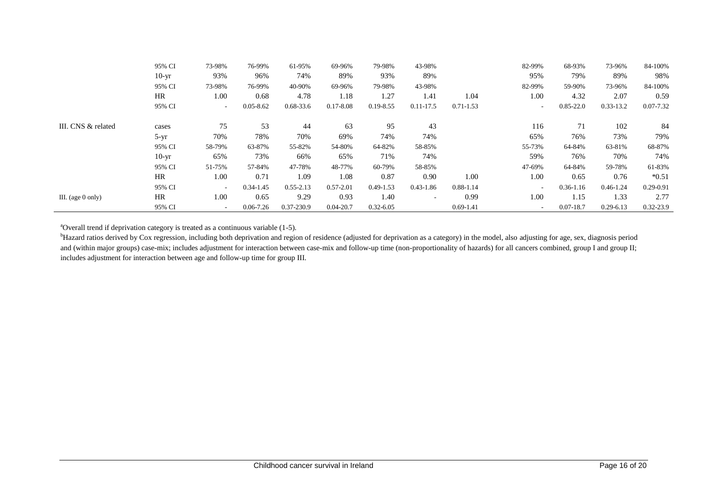|                     | 95% CI  | 73-98% | 76-99%        | 61-95%        | 69-96%        | 79-98%        | 43-98%        |               | 82-99% | 68-93%        | 73-96%        | 84-100%       |
|---------------------|---------|--------|---------------|---------------|---------------|---------------|---------------|---------------|--------|---------------|---------------|---------------|
|                     | $10-yr$ | 93%    | 96%           | 74%           | 89%           | 93%           | 89%           |               | 95%    | 79%           | 89%           | 98%           |
|                     | 95% CI  | 73-98% | 76-99%        | 40-90%        | 69-96%        | 79-98%        | 43-98%        |               | 82-99% | 59-90%        | 73-96%        | 84-100%       |
|                     | HR      | 1.00   | 0.68          | 4.78          | 1.18          | 1.27          | 1.41          | 1.04          | 1.00   | 4.32          | 2.07          | 0.59          |
|                     | 95% CI  | $\sim$ | $0.05 - 8.62$ | 0.68-33.6     | $0.17 - 8.08$ | $0.19 - 8.55$ | $0.11 - 17.5$ | $0.71 - 1.53$ | $\sim$ | $0.85 - 22.0$ | $0.33 - 13.2$ | 0.07-7.32     |
| III. CNS & related  | cases   | 75     | 53            | 44            | 63            | 95            | 43            |               | 116    | 71            | 102           | -84           |
|                     | $5-yr$  | 70%    | 78%           | 70%           | 69%           | 74%           | 74%           |               | 65%    | 76%           | 73%           | 79%           |
|                     | 95% CI  | 58-79% | 63-87%        | 55-82%        | 54-80%        | 64-82%        | 58-85%        |               | 55-73% | 64-84%        | 63-81%        | 68-87%        |
|                     | $10-yr$ | 65%    | 73%           | 66%           | 65%           | 71%           | 74%           |               | 59%    | 76%           | 70%           | 74%           |
|                     | 95% CI  | 51-75% | 57-84%        | 47-78%        | 48-77%        | 60-79%        | 58-85%        |               | 47-69% | 64-84%        | 59-78%        | 61-83%        |
|                     | HR      | 1.00   | 0.71          | 1.09          | 1.08          | 0.87          | 0.90          | 1.00          | 1.00   | 0.65          | 0.76          | $*0.51$       |
|                     | 95% CI  | $\sim$ | $0.34 - 1.45$ | $0.55 - 2.13$ | $0.57 - 2.01$ | $0.49 - 1.53$ | $0.43 - 1.86$ | $0.88 - 1.14$ |        | $0.36 - 1.16$ | $0.46 - 1.24$ | $0.29 - 0.91$ |
| III. (age $0$ only) | HR      | 1.00   | 0.65          | 9.29          | 0.93          | 1.40          |               | 0.99          | 1.00   | 1.15          | 1.33          | 2.77          |
|                     | 95% CI  | $\sim$ | $0.06 - 7.26$ | 0.37-230.9    | $0.04 - 20.7$ | $0.32 - 6.05$ |               | $0.69 - 1.41$ | $\sim$ | $0.07 - 18.7$ | $0.29 - 6.13$ | 0.32-23.9     |

<sup>a</sup>Overall trend if deprivation category is treated as a continuous variable (1-5).

<sup>b</sup>Hazard ratios derived by Cox regression, including both deprivation and region of residence (adjusted for deprivation as a category) in the model, also adjusting for age, sex, diagnosis period and (within major groups) case-mix; includes adjustment for interaction between case-mix and follow-up time (non-proportionality of hazards) for all cancers combined, group I and group II; includes adjustment for interaction between age and follow-up time for group III.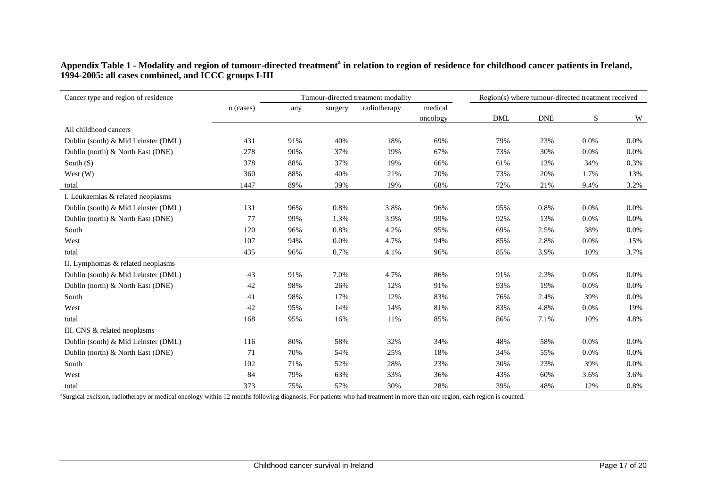## **Appendix Table 1 - Modality and region of tumour-directed treatment<sup>a</sup> in relation to region of residence for childhood cancer patients in Ireland, 1994-2005: all cases combined, and ICCC groups I-III**

| Cancer type and region of residence |           | Tumour-directed treatment modality | Region(s) where tumour-directed treatment received |              |          |            |            |      |      |
|-------------------------------------|-----------|------------------------------------|----------------------------------------------------|--------------|----------|------------|------------|------|------|
|                                     | n (cases) | any                                | surgery                                            | radiotherapy | medical  |            |            |      |      |
|                                     |           |                                    |                                                    |              | oncology | <b>DML</b> | <b>DNE</b> | S    | W    |
| All childhood cancers               |           |                                    |                                                    |              |          |            |            |      |      |
| Dublin (south) & Mid Leinster (DML) | 431       | 91%                                | 40%                                                | 18%          | 69%      | 79%        | 23%        | 0.0% | 0.0% |
| Dublin (north) & North East (DNE)   | 278       | 90%                                | 37%                                                | 19%          | 67%      | 73%        | 30%        | 0.0% | 0.0% |
| South $(S)$                         | 378       | 88%                                | 37%                                                | 19%          | 66%      | 61%        | 13%        | 34%  | 0.3% |
| West $(W)$                          | 360       | 88%                                | 40%                                                | 21%          | 70%      | 73%        | 20%        | 1.7% | 13%  |
| total                               | 1447      | 89%                                | 39%                                                | 19%          | 68%      | 72%        | 21%        | 9.4% | 3.2% |
| I. Leukaemias & related neoplasms   |           |                                    |                                                    |              |          |            |            |      |      |
| Dublin (south) & Mid Leinster (DML) | 131       | 96%                                | 0.8%                                               | 3.8%         | 96%      | 95%        | 0.8%       | 0.0% | 0.0% |
| Dublin (north) & North East (DNE)   | 77        | 99%                                | 1.3%                                               | 3.9%         | 99%      | 92%        | 13%        | 0.0% | 0.0% |
| South                               | 120       | 96%                                | 0.8%                                               | 4.2%         | 95%      | 69%        | 2.5%       | 38%  | 0.0% |
| West                                | 107       | 94%                                | 0.0%                                               | 4.7%         | 94%      | 85%        | 2.8%       | 0.0% | 15%  |
| total                               | 435       | 96%                                | 0.7%                                               | 4.1%         | 96%      | 85%        | 3.9%       | 10%  | 3.7% |
| II. Lymphomas & related neoplasms   |           |                                    |                                                    |              |          |            |            |      |      |
| Dublin (south) & Mid Leinster (DML) | 43        | 91%                                | 7.0%                                               | 4.7%         | 86%      | 91%        | 2.3%       | 0.0% | 0.0% |
| Dublin (north) & North East (DNE)   | 42        | 98%                                | 26%                                                | 12%          | 91%      | 93%        | 19%        | 0.0% | 0.0% |
| South                               | 41        | 98%                                | 17%                                                | 12%          | 83%      | 76%        | 2.4%       | 39%  | 0.0% |
| West                                | 42        | 95%                                | 14%                                                | 14%          | 81%      | 83%        | 4.8%       | 0.0% | 19%  |
| total                               | 168       | 95%                                | 16%                                                | 11%          | 85%      | 86%        | 7.1%       | 10%  | 4.8% |
| III. CNS & related neoplasms        |           |                                    |                                                    |              |          |            |            |      |      |
| Dublin (south) & Mid Leinster (DML) | 116       | 80%                                | 58%                                                | 32%          | 34%      | 48%        | 58%        | 0.0% | 0.0% |
| Dublin (north) & North East (DNE)   | 71        | 70%                                | 54%                                                | 25%          | 18%      | 34%        | 55%        | 0.0% | 0.0% |
| South                               | 102       | 71%                                | 52%                                                | 28%          | 23%      | 30%        | 23%        | 39%  | 0.0% |
| West                                | 84        | 79%                                | 63%                                                | 33%          | 36%      | 43%        | 60%        | 3.6% | 3.6% |
| total                               | 373       | 75%                                | 57%                                                | 30%          | 28%      | 39%        | 48%        | 12%  | 0.8% |

a Surgical excision, radiotherapy or medical oncology within 12 months following diagnosis. For patients who had treatment in more than one region, each region is counted.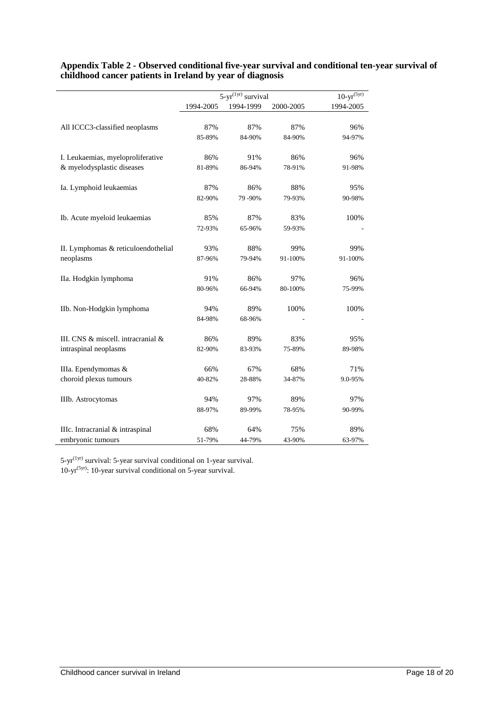|                                     |           | $5-yr^{(1yr)}$ survival |           | $10-yr^{(5yr)}$ |
|-------------------------------------|-----------|-------------------------|-----------|-----------------|
|                                     | 1994-2005 | 1994-1999               | 2000-2005 | 1994-2005       |
|                                     |           |                         |           |                 |
| All ICCC3-classified neoplasms      | 87%       | 87%                     | 87%       | 96%             |
|                                     | 85-89%    | 84-90%                  | 84-90%    | 94-97%          |
| I. Leukaemias, myeloproliferative   | 86%       | 91%                     | 86%       | 96%             |
| & myelodysplastic diseases          | 81-89%    | 86-94%                  | 78-91%    | 91-98%          |
| Ia. Lymphoid leukaemias             | 87%       | 86%                     | 88%       | 95%             |
|                                     | 82-90%    | 79 - 90%                | 79-93%    | 90-98%          |
| Ib. Acute myeloid leukaemias        | 85%       | 87%                     | 83%       | 100%            |
|                                     | 72-93%    | 65-96%                  | 59-93%    |                 |
| II. Lymphomas & reticuloendothelial | 93%       | 88%                     | 99%       | 99%             |
| neoplasms                           | 87-96%    | 79-94%                  | 91-100%   | 91-100%         |
| IIa. Hodgkin lymphoma               | 91%       | 86%                     | 97%       | 96%             |
|                                     | 80-96%    | 66-94%                  | 80-100%   | 75-99%          |
| IIb. Non-Hodgkin lymphoma           | 94%       | 89%                     | 100%      | 100%            |
|                                     | 84-98%    | 68-96%                  |           |                 |
| III. CNS & miscell. intracranial &  | 86%       | 89%                     | 83%       | 95%             |
| intraspinal neoplasms               | 82-90%    | 83-93%                  | 75-89%    | 89-98%          |
| IIIa. Ependymomas &                 | 66%       | 67%                     | 68%       | 71%             |
| choroid plexus tumours              | 40-82%    | 28-88%                  | 34-87%    | 9.0-95%         |
| IIIb. Astrocytomas                  | 94%       | 97%                     | 89%       | 97%             |
|                                     | 88-97%    | 89-99%                  | 78-95%    | 90-99%          |
| IIIc. Intracranial & intraspinal    | 68%       | 64%                     | 75%       | 89%             |
| embryonic tumours                   | 51-79%    | 44-79%                  | 43-90%    | 63-97%          |

# **Appendix Table 2 - Observed conditional five-year survival and conditional ten-year survival of childhood cancer patients in Ireland by year of diagnosis**

 $5-yr^{(1yr)}$  survival: 5-year survival conditional on 1-year survival. 10-yr<sup>(5yr)</sup>: 10-year survival conditional on 5-year survival.

l,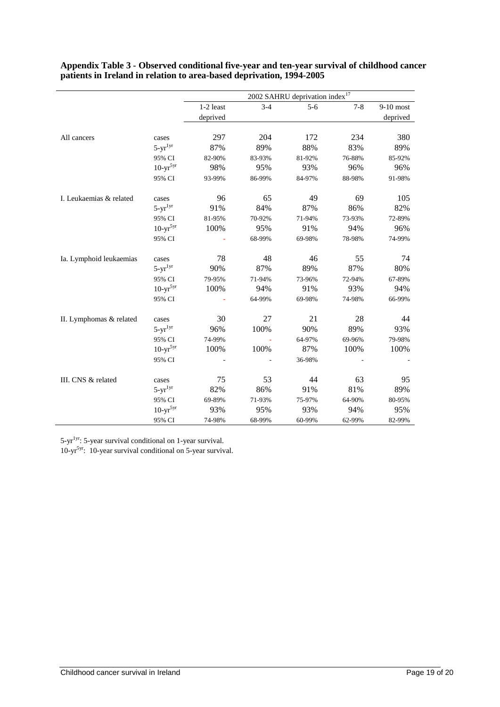|                         |               | 2002 SAHRU deprivation index <sup>17</sup> |         |         |         |             |  |  |  |  |
|-------------------------|---------------|--------------------------------------------|---------|---------|---------|-------------|--|--|--|--|
|                         |               | 1-2 least                                  | $3 - 4$ | $5 - 6$ | $7 - 8$ | $9-10$ most |  |  |  |  |
|                         |               | deprived                                   |         |         |         | deprived    |  |  |  |  |
|                         |               |                                            |         |         |         |             |  |  |  |  |
| All cancers             | cases         | 297                                        | 204     | 172     | 234     | 380         |  |  |  |  |
|                         | $5-yr^{1yr}$  | 87%                                        | 89%     | 88%     | 83%     | 89%         |  |  |  |  |
|                         | 95% CI        | 82-90%                                     | 83-93%  | 81-92%  | 76-88%  | 85-92%      |  |  |  |  |
|                         | $10-yr^{5yr}$ | 98%                                        | 95%     | 93%     | 96%     | 96%         |  |  |  |  |
|                         | 95% CI        | 93-99%                                     | 86-99%  | 84-97%  | 88-98%  | 91-98%      |  |  |  |  |
| I. Leukaemias & related | cases         | 96                                         | 65      | 49      | 69      | 105         |  |  |  |  |
|                         | $5-yr^{1yr}$  | 91%                                        | 84%     | 87%     | 86%     | 82%         |  |  |  |  |
|                         | 95% CI        | 81-95%                                     | 70-92%  | 71-94%  | 73-93%  | 72-89%      |  |  |  |  |
|                         | $10-yr^{5yr}$ | 100%                                       | 95%     | 91%     | 94%     | 96%         |  |  |  |  |
|                         | 95% CI        |                                            | 68-99%  | 69-98%  | 78-98%  | 74-99%      |  |  |  |  |
| Ia. Lymphoid leukaemias | cases         | 78                                         | 48      | 46      | 55      | 74          |  |  |  |  |
|                         | $5-yr^{1yr}$  | 90%                                        | 87%     | 89%     | 87%     | 80%         |  |  |  |  |
|                         | 95% CI        | 79-95%                                     | 71-94%  | 73-96%  | 72-94%  | 67-89%      |  |  |  |  |
|                         | $10-yr^{5yr}$ | 100%                                       | 94%     | 91%     | 93%     | 94%         |  |  |  |  |
|                         | 95% CI        |                                            | 64-99%  | 69-98%  | 74-98%  | 66-99%      |  |  |  |  |
| II. Lymphomas & related | cases         | 30                                         | 27      | 21      | 28      | 44          |  |  |  |  |
|                         | $5-yr^{1yr}$  | 96%                                        | 100%    | 90%     | 89%     | 93%         |  |  |  |  |
|                         | 95% CI        | 74-99%                                     |         | 64-97%  | 69-96%  | 79-98%      |  |  |  |  |
|                         | $10-yr^{5yr}$ | 100%                                       | 100%    | 87%     | 100%    | 100%        |  |  |  |  |
|                         | 95% CI        |                                            |         | 36-98%  |         |             |  |  |  |  |
| III. CNS & related      | cases         | 75                                         | 53      | 44      | 63      | 95          |  |  |  |  |
|                         | $5-yr^{1yr}$  | 82%                                        | 86%     | 91%     | 81%     | 89%         |  |  |  |  |
|                         | 95% CI        | 69-89%                                     | 71-93%  | 75-97%  | 64-90%  | 80-95%      |  |  |  |  |
|                         | $10-yr^{5yr}$ | 93%                                        | 95%     | 93%     | 94%     | 95%         |  |  |  |  |
|                         | 95% CI        | 74-98%                                     | 68-99%  | 60-99%  | 62-99%  | 82-99%      |  |  |  |  |

**Appendix Table 3 - Observed conditional five-year and ten-year survival of childhood cancer patients in Ireland in relation to area-based deprivation, 1994-2005**

5-yr1yr: 5-year survival conditional on 1-year survival.

l,

l.

10-yr5yr: 10-year survival conditional on 5-year survival.